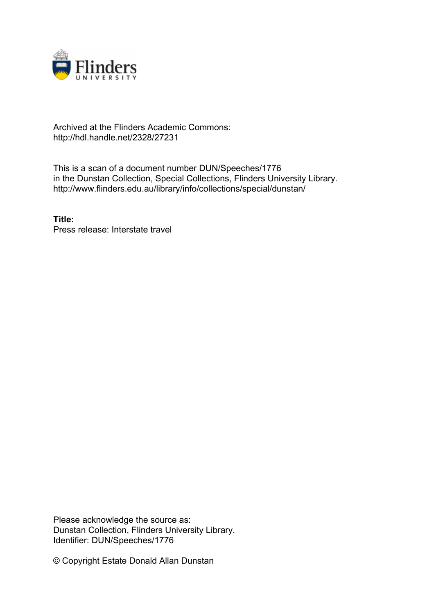

## Archived at the Flinders Academic Commons: http://hdl.handle.net/2328/27231

This is a scan of a document number DUN/Speeches/1776 in the Dunstan Collection, Special Collections, Flinders University Library. http://www.flinders.edu.au/library/info/collections/special/dunstan/

**Title:** Press release: Interstate travel

Please acknowledge the source as: Dunstan Collection, Flinders University Library. Identifier: DUN/Speeches/1776

© Copyright Estate Donald Allan Dunstan